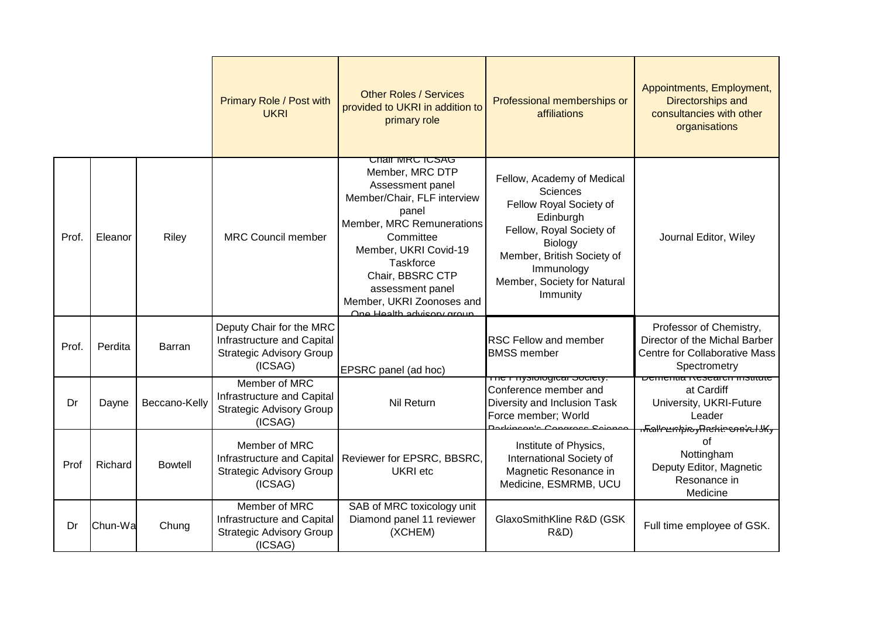|       |         |                | Primary Role / Post with<br><b>UKRI</b>                                                              | <b>Other Roles / Services</b><br>provided to UKRI in addition to<br>primary role                                                                                                                                                                                                        | Professional memberships or<br>affiliations                                                                                                                                                                         | Appointments, Employment,<br>Directorships and<br>consultancies with other<br>organisations                      |
|-------|---------|----------------|------------------------------------------------------------------------------------------------------|-----------------------------------------------------------------------------------------------------------------------------------------------------------------------------------------------------------------------------------------------------------------------------------------|---------------------------------------------------------------------------------------------------------------------------------------------------------------------------------------------------------------------|------------------------------------------------------------------------------------------------------------------|
| Prof. | Eleanor | Riley          | <b>MRC Council member</b>                                                                            | <u>UNAIT MRU IUSAU</u><br>Member, MRC DTP<br>Assessment panel<br>Member/Chair, FLF interview<br>panel<br>Member, MRC Remunerations<br>Committee<br>Member, UKRI Covid-19<br>Taskforce<br>Chair, BBSRC CTP<br>assessment panel<br>Member, UKRI Zoonoses and<br>One Health advisory group | Fellow, Academy of Medical<br><b>Sciences</b><br>Fellow Royal Society of<br>Edinburgh<br>Fellow, Royal Society of<br>Biology<br>Member, British Society of<br>Immunology<br>Member, Society for Natural<br>Immunity | Journal Editor, Wiley                                                                                            |
| Prof. | Perdita | Barran         | Deputy Chair for the MRC<br>Infrastructure and Capital<br><b>Strategic Advisory Group</b><br>(ICSAG) | EPSRC panel (ad hoc)                                                                                                                                                                                                                                                                    | <b>RSC Fellow and member</b><br><b>BMSS</b> member                                                                                                                                                                  | Professor of Chemistry,<br>Director of the Michal Barber<br><b>Centre for Collaborative Mass</b><br>Spectrometry |
| Dr    | Dayne   | Beccano-Kelly  | Member of MRC<br>Infrastructure and Capital<br><b>Strategic Advisory Group</b><br>(ICSAG)            | Nil Return                                                                                                                                                                                                                                                                              | The Physiological Society.<br>Conference member and<br>Diversity and Inclusion Task<br>Force member; World<br>Darkingan's Congress Sejang                                                                           | Dementia Research institute<br>at Cardiff<br>University, UKRI-Future<br>Leader<br><del>௬</del> ௷௶௷௷௺௺௸௸௸௸        |
| Prof  | Richard | <b>Bowtell</b> | Member of MRC<br>Infrastructure and Capital<br><b>Strategic Advisory Group</b><br>(ICSAG)            | Reviewer for EPSRC, BBSRC,<br><b>UKRI</b> etc                                                                                                                                                                                                                                           | Institute of Physics,<br>International Society of<br>Magnetic Resonance in<br>Medicine, ESMRMB, UCU                                                                                                                 | οf<br>Nottingham<br>Deputy Editor, Magnetic<br>Resonance in<br>Medicine                                          |
| Dr    | Chun-Wa | Chung          | Member of MRC<br>Infrastructure and Capital<br><b>Strategic Advisory Group</b><br>(ICSAG)            | SAB of MRC toxicology unit<br>Diamond panel 11 reviewer<br>(XCHEM)                                                                                                                                                                                                                      | GlaxoSmithKline R&D (GSK<br><b>R&amp;D)</b>                                                                                                                                                                         | Full time employee of GSK.                                                                                       |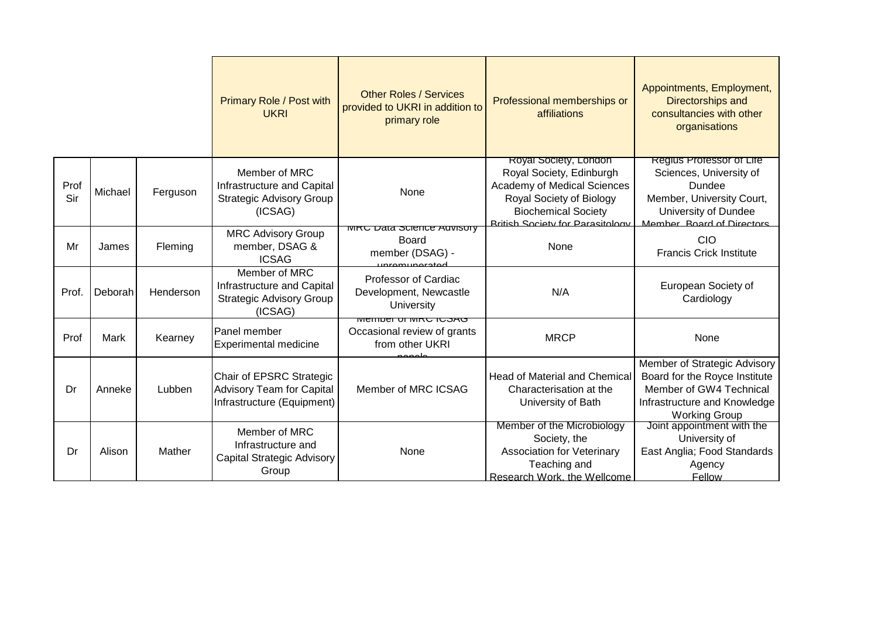|             |         |           | <b>Primary Role / Post with</b><br><b>UKRI</b>                                             | <b>Other Roles / Services</b><br>provided to UKRI in addition to<br>primary role       | Professional memberships or<br>affiliations                                                                                                                                           | Appointments, Employment,<br>Directorships and<br>consultancies with other<br>organisations                                                      |
|-------------|---------|-----------|--------------------------------------------------------------------------------------------|----------------------------------------------------------------------------------------|---------------------------------------------------------------------------------------------------------------------------------------------------------------------------------------|--------------------------------------------------------------------------------------------------------------------------------------------------|
| Prof<br>Sir | Michael | Ferguson  | Member of MRC<br>Infrastructure and Capital<br><b>Strategic Advisory Group</b><br>(ICSAG)  | None                                                                                   | Royal Society, London<br>Royal Society, Edinburgh<br>Academy of Medical Sciences<br>Royal Society of Biology<br><b>Biochemical Society</b><br><b>Rritish Society for Parasitology</b> | Regius Professor of Life<br>Sciences, University of<br>Dundee<br>Member, University Court,<br>University of Dundee<br>Member Roard of Directors  |
| Mr          | James   | Fleming   | <b>MRC Advisory Group</b><br>member, DSAG &<br><b>ICSAG</b>                                | <b>MITU Data SCIELICE AUVISULY</b><br>Board<br>member (DSAG) -<br><u>inromunorator</u> | None                                                                                                                                                                                  | <b>CIO</b><br><b>Francis Crick Institute</b>                                                                                                     |
| Prof.       | Deborah | Henderson | Member of MRC<br>Infrastructure and Capital<br><b>Strategic Advisory Group</b><br>(ICSAG)  | Professor of Cardiac<br>Development, Newcastle<br>University                           | N/A                                                                                                                                                                                   | European Society of<br>Cardiology                                                                                                                |
| Prof        | Mark    | Kearney   | Panel member<br><b>Experimental medicine</b>                                               | <u>טאכטו טאוווטרן וואווואוו</u><br>Occasional review of grants<br>from other UKRI      | <b>MRCP</b>                                                                                                                                                                           | None                                                                                                                                             |
| Dr          | Anneke  | Lubben    | Chair of EPSRC Strategic<br><b>Advisory Team for Capital</b><br>Infrastructure (Equipment) | Member of MRC ICSAG                                                                    | <b>Head of Material and Chemical</b><br>Characterisation at the<br>University of Bath                                                                                                 | Member of Strategic Advisory<br>Board for the Royce Institute<br>Member of GW4 Technical<br>Infrastructure and Knowledge<br><b>Working Group</b> |
| Dr          | Alison  | Mather    | Member of MRC<br>Infrastructure and<br><b>Capital Strategic Advisory</b><br>Group          | None                                                                                   | Member of the Microbiology<br>Society, the<br>Association for Veterinary<br>Teaching and<br>Research Work, the Wellcome                                                               | Joint appointment with the<br>University of<br>East Anglia; Food Standards<br>Agency<br>Fellow                                                   |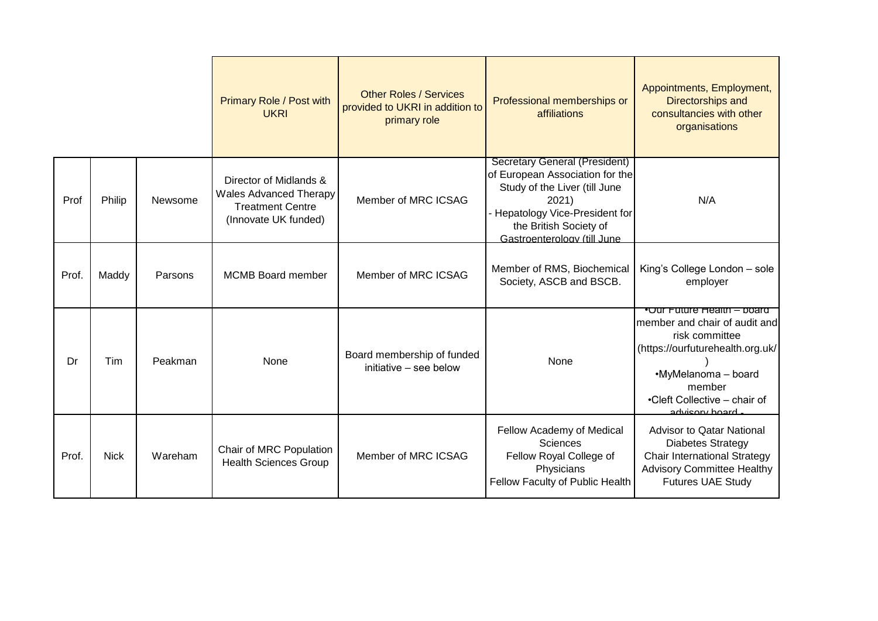|       |             |         | Primary Role / Post with<br><b>UKRI</b>                                                                    | <b>Other Roles / Services</b><br>provided to UKRI in addition to<br>primary role | Professional memberships or<br>affiliations                                                                                                                                                                 | Appointments, Employment,<br><b>Directorships and</b><br>consultancies with other<br>organisations                                                                                                   |
|-------|-------------|---------|------------------------------------------------------------------------------------------------------------|----------------------------------------------------------------------------------|-------------------------------------------------------------------------------------------------------------------------------------------------------------------------------------------------------------|------------------------------------------------------------------------------------------------------------------------------------------------------------------------------------------------------|
| Prof  | Philip      | Newsome | Director of Midlands &<br><b>Wales Advanced Therapy</b><br><b>Treatment Centre</b><br>(Innovate UK funded) | Member of MRC ICSAG                                                              | <b>Secretary General (President)</b><br>of European Association for the<br>Study of the Liver (till June<br>2021)<br>Hepatology Vice-President for<br>the British Society of<br>Gastroenterology (till June | N/A                                                                                                                                                                                                  |
| Prof. | Maddy       | Parsons | <b>MCMB Board member</b>                                                                                   | Member of MRC ICSAG                                                              | Member of RMS, Biochemical<br>Society, ASCB and BSCB.                                                                                                                                                       | King's College London - sole<br>employer                                                                                                                                                             |
| Dr    | Tim         | Peakman | None                                                                                                       | Board membership of funded<br>initiative - see below                             | None                                                                                                                                                                                                        | •Our Future Health – board<br>member and chair of audit and<br>risk committee<br>(https://ourfuturehealth.org.uk/<br>•MyMelanoma - board<br>member<br>•Cleft Collective – chair of<br>advisory board |
| Prof. | <b>Nick</b> | Wareham | Chair of MRC Population<br><b>Health Sciences Group</b>                                                    | Member of MRC ICSAG                                                              | Fellow Academy of Medical<br>Sciences<br>Fellow Royal College of<br>Physicians<br>Fellow Faculty of Public Health                                                                                           | <b>Advisor to Qatar National</b><br><b>Diabetes Strategy</b><br><b>Chair International Strategy</b><br><b>Advisory Committee Healthy</b><br><b>Futures UAE Study</b>                                 |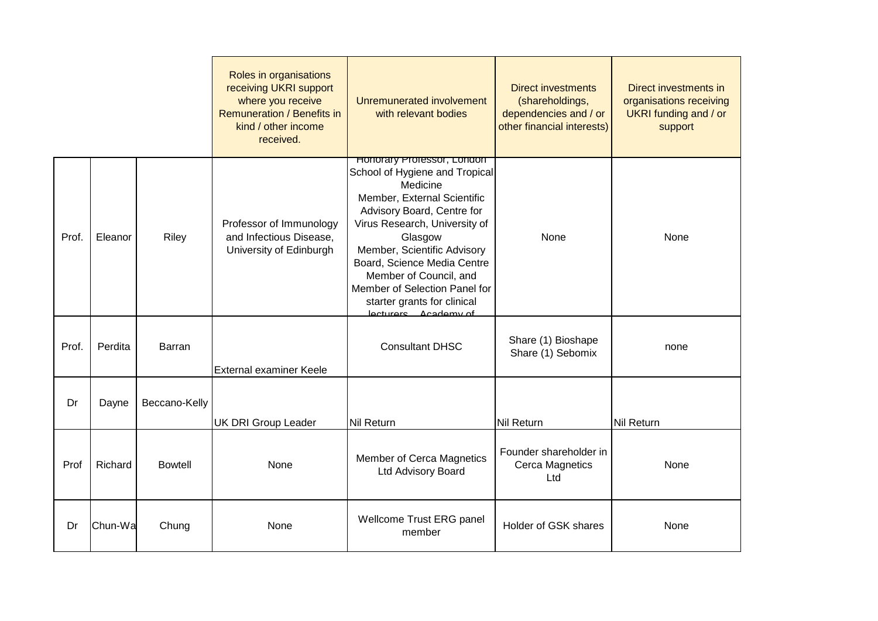|       |         |                | Roles in organisations<br>receiving UKRI support<br>where you receive<br>Remuneration / Benefits in<br>kind / other income<br>received. | Unremunerated involvement<br>with relevant bodies                                                                                                                                                                                                                                                                                                                        | <b>Direct investments</b><br>(shareholdings,<br>dependencies and / or<br>other financial interests) | Direct investments in<br>organisations receiving<br><b>UKRI</b> funding and / or<br>support |
|-------|---------|----------------|-----------------------------------------------------------------------------------------------------------------------------------------|--------------------------------------------------------------------------------------------------------------------------------------------------------------------------------------------------------------------------------------------------------------------------------------------------------------------------------------------------------------------------|-----------------------------------------------------------------------------------------------------|---------------------------------------------------------------------------------------------|
| Prof. | Eleanor | Riley          | Professor of Immunology<br>and Infectious Disease,<br>University of Edinburgh                                                           | <b>Honorary Professor, London</b><br>School of Hygiene and Tropical<br>Medicine<br>Member, External Scientific<br>Advisory Board, Centre for<br>Virus Research, University of<br>Glasgow<br>Member, Scientific Advisory<br>Board, Science Media Centre<br>Member of Council, and<br>Member of Selection Panel for<br>starter grants for clinical<br>lecturers Academy of | None                                                                                                | None                                                                                        |
| Prof. | Perdita | Barran         | External examiner Keele                                                                                                                 | <b>Consultant DHSC</b>                                                                                                                                                                                                                                                                                                                                                   | Share (1) Bioshape<br>Share (1) Sebomix                                                             | none                                                                                        |
| Dr    | Dayne   | Beccano-Kelly  | <b>UK DRI Group Leader</b>                                                                                                              | <b>Nil Return</b>                                                                                                                                                                                                                                                                                                                                                        | Nil Return                                                                                          | Nil Return                                                                                  |
| Prof  | Richard | <b>Bowtell</b> | None                                                                                                                                    | Member of Cerca Magnetics<br><b>Ltd Advisory Board</b>                                                                                                                                                                                                                                                                                                                   | Founder shareholder in<br>Cerca Magnetics<br>Ltd                                                    | None                                                                                        |
| Dr    | Chun-Wa | Chung          | None                                                                                                                                    | Wellcome Trust ERG panel<br>member                                                                                                                                                                                                                                                                                                                                       | Holder of GSK shares                                                                                | None                                                                                        |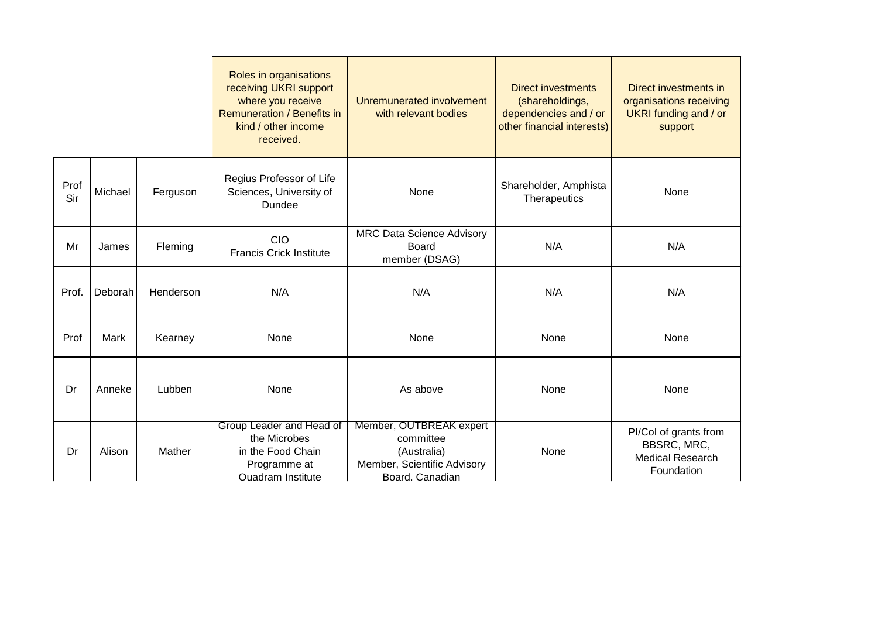|             |         |           | Roles in organisations<br>receiving UKRI support<br>where you receive<br>Remuneration / Benefits in<br>kind / other income<br>received. | Unremunerated involvement<br>with relevant bodies                                                     | <b>Direct investments</b><br>(shareholdings,<br>dependencies and / or<br>other financial interests) | Direct investments in<br>organisations receiving<br>UKRI funding and / or<br>support |
|-------------|---------|-----------|-----------------------------------------------------------------------------------------------------------------------------------------|-------------------------------------------------------------------------------------------------------|-----------------------------------------------------------------------------------------------------|--------------------------------------------------------------------------------------|
| Prof<br>Sir | Michael | Ferguson  | Regius Professor of Life<br>Sciences, University of<br>Dundee                                                                           | None                                                                                                  | Shareholder, Amphista<br>Therapeutics                                                               | None                                                                                 |
| Mr          | James   | Fleming   | CIO<br><b>Francis Crick Institute</b>                                                                                                   | <b>MRC Data Science Advisory</b><br><b>Board</b><br>member (DSAG)                                     | N/A                                                                                                 | N/A                                                                                  |
| Prof.       | Deborah | Henderson | N/A                                                                                                                                     | N/A                                                                                                   | N/A                                                                                                 | N/A                                                                                  |
| Prof        | Mark    | Kearney   | None                                                                                                                                    | None                                                                                                  | None                                                                                                | None                                                                                 |
| Dr          | Anneke  | Lubben    | None                                                                                                                                    | As above                                                                                              | None                                                                                                | None                                                                                 |
| Dr          | Alison  | Mather    | Group Leader and Head of<br>the Microbes<br>in the Food Chain<br>Programme at<br>Quadram Institute                                      | Member, OUTBREAK expert<br>committee<br>(Australia)<br>Member, Scientific Advisory<br>Board, Canadian | None                                                                                                | PI/Col of grants from<br>BBSRC, MRC,<br><b>Medical Research</b><br>Foundation        |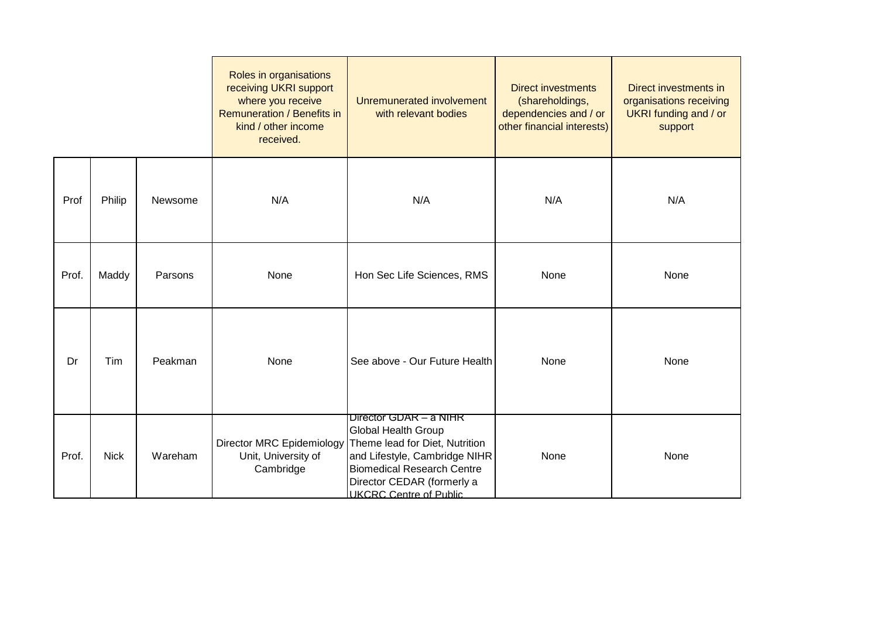|       |             |         | Roles in organisations<br>receiving UKRI support<br>where you receive<br>Remuneration / Benefits in<br>kind / other income<br>received. | Unremunerated involvement<br>with relevant bodies                                                                                                                                                                            | <b>Direct investments</b><br>(shareholdings,<br>dependencies and / or<br>other financial interests) | Direct investments in<br>organisations receiving<br>UKRI funding and / or<br>support |
|-------|-------------|---------|-----------------------------------------------------------------------------------------------------------------------------------------|------------------------------------------------------------------------------------------------------------------------------------------------------------------------------------------------------------------------------|-----------------------------------------------------------------------------------------------------|--------------------------------------------------------------------------------------|
| Prof  | Philip      | Newsome | N/A                                                                                                                                     | N/A                                                                                                                                                                                                                          | N/A                                                                                                 | N/A                                                                                  |
| Prof. | Maddy       | Parsons | None                                                                                                                                    | Hon Sec Life Sciences, RMS                                                                                                                                                                                                   | None                                                                                                | None                                                                                 |
| Dr    | Tim         | Peakman | None                                                                                                                                    | See above - Our Future Health                                                                                                                                                                                                | None                                                                                                | None                                                                                 |
| Prof. | <b>Nick</b> | Wareham | <b>Director MRC Epidemiology</b><br>Unit, University of<br>Cambridge                                                                    | Director GDAR - a NIHR<br><b>Global Health Group</b><br>Theme lead for Diet, Nutrition<br>and Lifestyle, Cambridge NIHR<br><b>Biomedical Research Centre</b><br>Director CEDAR (formerly a<br><b>LIKCRC Centre of Public</b> | None                                                                                                | None                                                                                 |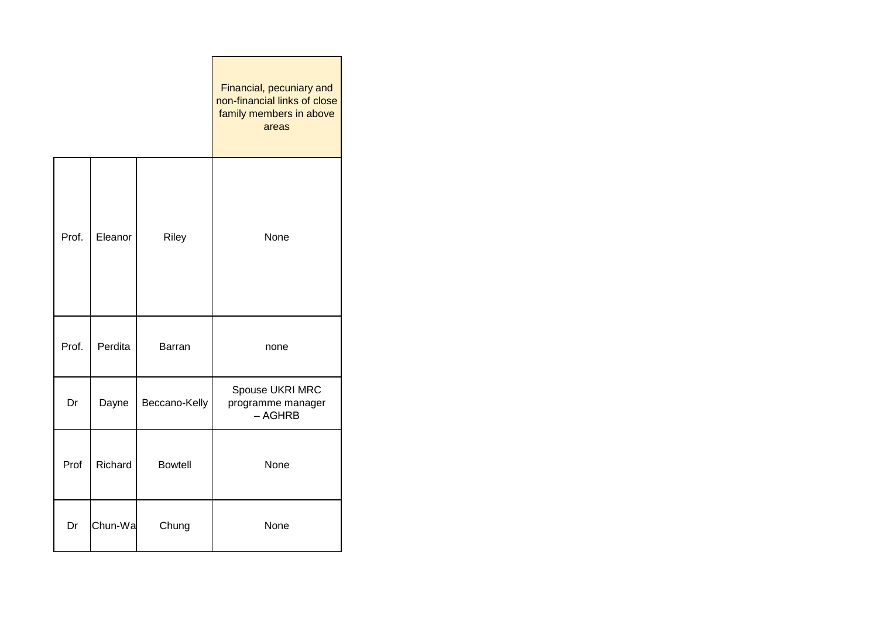|       |         |                | Financial, pecuniary and<br>non-financial links of close<br>family members in above<br>areas |
|-------|---------|----------------|----------------------------------------------------------------------------------------------|
| Prof. | Eleanor | Riley          | None                                                                                         |
| Prof. | Perdita | Barran         | none                                                                                         |
| Dr    | Dayne   | Beccano-Kelly  | Spouse UKRI MRC<br>programme manager<br>$-$ AGHRB                                            |
| Prof  | Richard | <b>Bowtell</b> | None                                                                                         |
| Dr    | Chun-Wa | Chung          | None                                                                                         |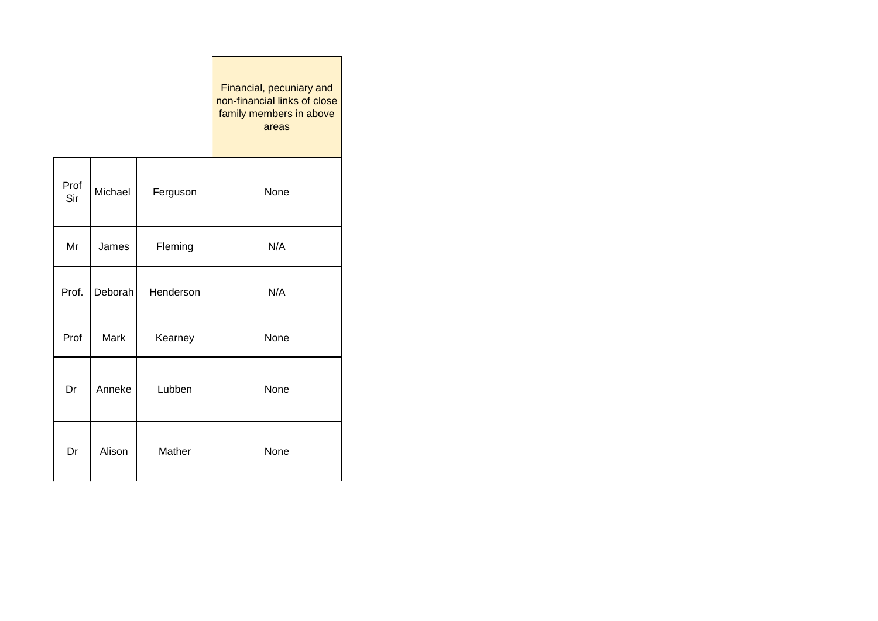|             |         |           | Financial, pecuniary and<br>non-financial links of close<br>family members in above<br>areas |
|-------------|---------|-----------|----------------------------------------------------------------------------------------------|
| Prof<br>Sir | Michael | Ferguson  | None                                                                                         |
| Mr          | James   | Fleming   | N/A                                                                                          |
| Prof.       | Deborah | Henderson | N/A                                                                                          |
| Prof        | Mark    | Kearney   | None                                                                                         |
| Dr          | Anneke  | Lubben    | None                                                                                         |
| Dr          | Alison  | Mather    | None                                                                                         |